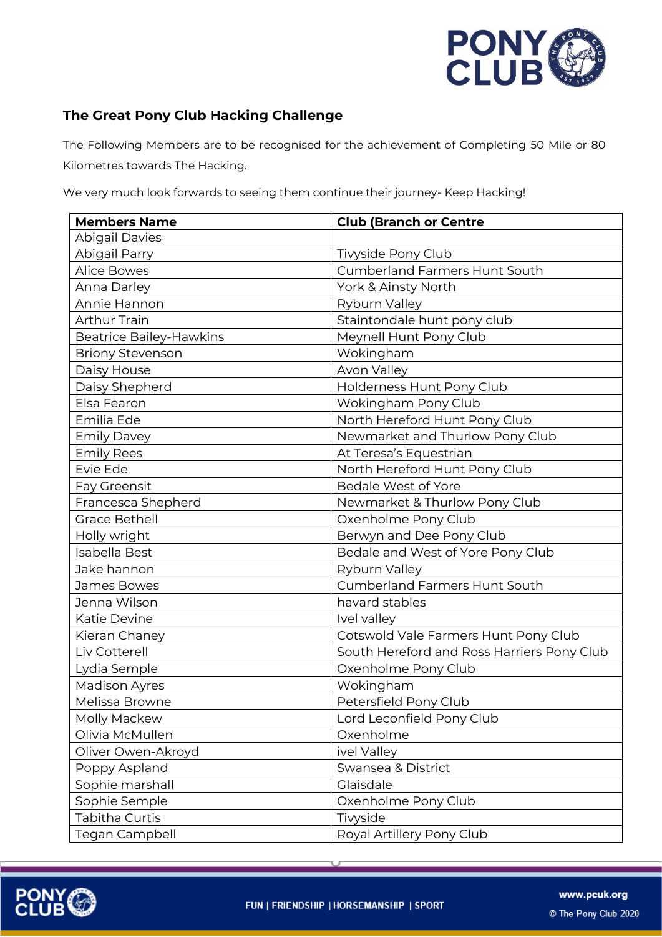

## **The Great Pony Club Hacking Challenge**

The Following Members are to be recognised for the achievement of Completing 50 Mile or 80 Kilometres towards The Hacking.

We very much look forwards to seeing them continue their journey- Keep Hacking!

| <b>Members Name</b>            | <b>Club (Branch or Centre</b>              |
|--------------------------------|--------------------------------------------|
| <b>Abigail Davies</b>          |                                            |
| Abigail Parry                  | Tivyside Pony Club                         |
| <b>Alice Bowes</b>             | <b>Cumberland Farmers Hunt South</b>       |
| Anna Darley                    | York & Ainsty North                        |
| Annie Hannon                   | Ryburn Valley                              |
| <b>Arthur Train</b>            | Staintondale hunt pony club                |
| <b>Beatrice Bailey-Hawkins</b> | Meynell Hunt Pony Club                     |
| <b>Briony Stevenson</b>        | Wokingham                                  |
| Daisy House                    | Avon Valley                                |
| Daisy Shepherd                 | Holderness Hunt Pony Club                  |
| Elsa Fearon                    | Wokingham Pony Club                        |
| Emilia Ede                     | North Hereford Hunt Pony Club              |
| <b>Emily Davey</b>             | Newmarket and Thurlow Pony Club            |
| <b>Emily Rees</b>              | At Teresa's Equestrian                     |
| Evie Ede                       | North Hereford Hunt Pony Club              |
| Fay Greensit                   | <b>Bedale West of Yore</b>                 |
| Francesca Shepherd             | Newmarket & Thurlow Pony Club              |
| <b>Grace Bethell</b>           | Oxenholme Pony Club                        |
| Holly wright                   | Berwyn and Dee Pony Club                   |
| Isabella Best                  | Bedale and West of Yore Pony Club          |
| Jake hannon                    | Ryburn Valley                              |
| James Bowes                    | <b>Cumberland Farmers Hunt South</b>       |
| Jenna Wilson                   | havard stables                             |
| Katie Devine                   | Ivel valley                                |
| Kieran Chaney                  | Cotswold Vale Farmers Hunt Pony Club       |
| Liv Cotterell                  | South Hereford and Ross Harriers Pony Club |
| Lydia Semple                   | Oxenholme Pony Club                        |
| <b>Madison Ayres</b>           | Wokingham                                  |
| Melissa Browne                 | Petersfield Pony Club                      |
| Molly Mackew                   | Lord Leconfield Pony Club                  |
| Olivia McMullen                | Oxenholme                                  |
| Oliver Owen-Akroyd             | ivel Valley                                |
| Poppy Aspland                  | Swansea & District                         |
| Sophie marshall                | Glaisdale                                  |
| Sophie Semple                  | Oxenholme Pony Club                        |
| Tabitha Curtis                 | Tivyside                                   |
| Tegan Campbell                 | Royal Artillery Pony Club                  |